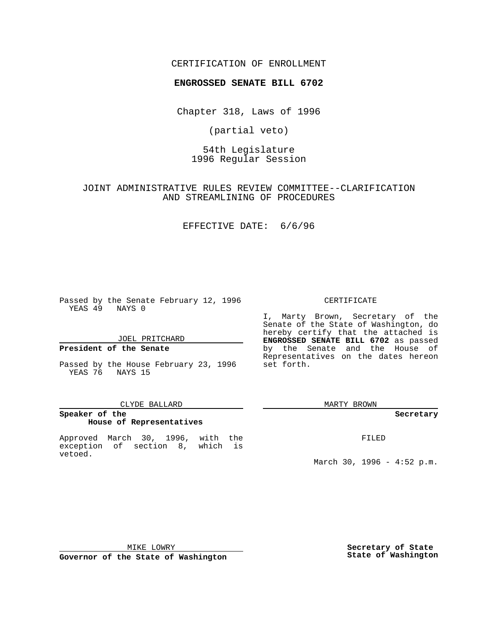## CERTIFICATION OF ENROLLMENT

# **ENGROSSED SENATE BILL 6702**

Chapter 318, Laws of 1996

(partial veto)

54th Legislature 1996 Regular Session

JOINT ADMINISTRATIVE RULES REVIEW COMMITTEE--CLARIFICATION AND STREAMLINING OF PROCEDURES

EFFECTIVE DATE: 6/6/96

Passed by the Senate February 12, 1996 YEAS 49 NAYS 0

JOEL PRITCHARD

### **President of the Senate**

Passed by the House February 23, 1996 YEAS 76 NAYS 15

#### CLYDE BALLARD

## **Speaker of the House of Representatives**

Approved March 30, 1996, with the exception of section 8, which is vetoed.

#### CERTIFICATE

I, Marty Brown, Secretary of the Senate of the State of Washington, do hereby certify that the attached is **ENGROSSED SENATE BILL 6702** as passed by the Senate and the House of Representatives on the dates hereon set forth.

MARTY BROWN

#### **Secretary**

FILED

March 30, 1996 - 4:52 p.m.

MIKE LOWRY

**Governor of the State of Washington**

**Secretary of State State of Washington**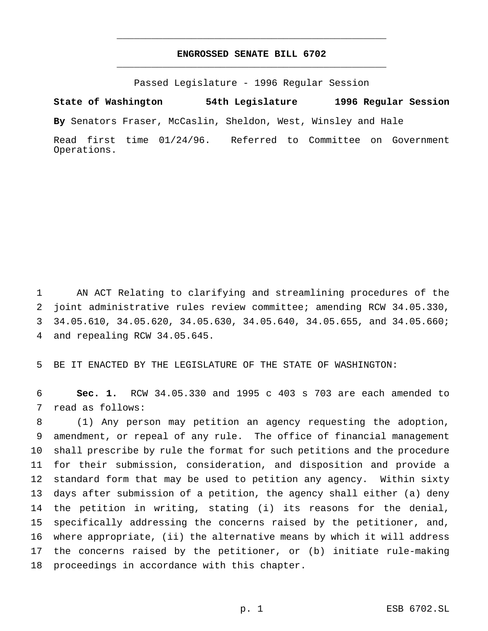# **ENGROSSED SENATE BILL 6702** \_\_\_\_\_\_\_\_\_\_\_\_\_\_\_\_\_\_\_\_\_\_\_\_\_\_\_\_\_\_\_\_\_\_\_\_\_\_\_\_\_\_\_\_\_\_\_

\_\_\_\_\_\_\_\_\_\_\_\_\_\_\_\_\_\_\_\_\_\_\_\_\_\_\_\_\_\_\_\_\_\_\_\_\_\_\_\_\_\_\_\_\_\_\_

Passed Legislature - 1996 Regular Session

**State of Washington 54th Legislature 1996 Regular Session**

**By** Senators Fraser, McCaslin, Sheldon, West, Winsley and Hale

Read first time 01/24/96. Referred to Committee on Government Operations.

 AN ACT Relating to clarifying and streamlining procedures of the joint administrative rules review committee; amending RCW 34.05.330, 34.05.610, 34.05.620, 34.05.630, 34.05.640, 34.05.655, and 34.05.660; and repealing RCW 34.05.645.

BE IT ENACTED BY THE LEGISLATURE OF THE STATE OF WASHINGTON:

 **Sec. 1.** RCW 34.05.330 and 1995 c 403 s 703 are each amended to read as follows:

 (1) Any person may petition an agency requesting the adoption, amendment, or repeal of any rule. The office of financial management shall prescribe by rule the format for such petitions and the procedure for their submission, consideration, and disposition and provide a standard form that may be used to petition any agency. Within sixty days after submission of a petition, the agency shall either (a) deny the petition in writing, stating (i) its reasons for the denial, specifically addressing the concerns raised by the petitioner, and, where appropriate, (ii) the alternative means by which it will address the concerns raised by the petitioner, or (b) initiate rule-making proceedings in accordance with this chapter.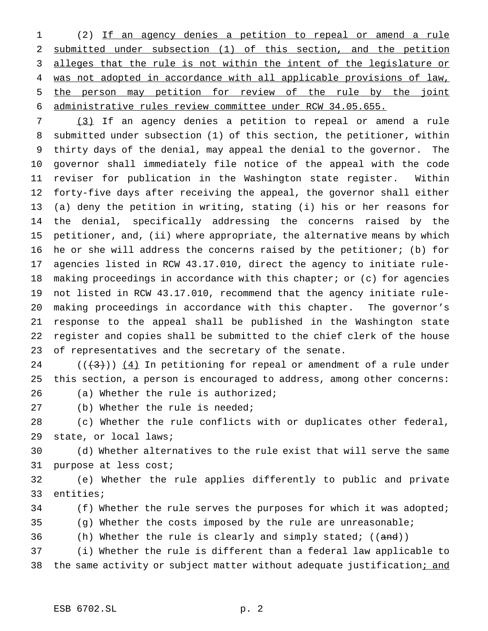(2) If an agency denies a petition to repeal or amend a rule submitted under subsection (1) of this section, and the petition alleges that the rule is not within the intent of the legislature or was not adopted in accordance with all applicable provisions of law, 5 the person may petition for review of the rule by the joint administrative rules review committee under RCW 34.05.655.

 (3) If an agency denies a petition to repeal or amend a rule submitted under subsection (1) of this section, the petitioner, within thirty days of the denial, may appeal the denial to the governor. The governor shall immediately file notice of the appeal with the code reviser for publication in the Washington state register. Within forty-five days after receiving the appeal, the governor shall either (a) deny the petition in writing, stating (i) his or her reasons for the denial, specifically addressing the concerns raised by the petitioner, and, (ii) where appropriate, the alternative means by which he or she will address the concerns raised by the petitioner; (b) for agencies listed in RCW 43.17.010, direct the agency to initiate rule- making proceedings in accordance with this chapter; or (c) for agencies not listed in RCW 43.17.010, recommend that the agency initiate rule- making proceedings in accordance with this chapter. The governor's response to the appeal shall be published in the Washington state register and copies shall be submitted to the chief clerk of the house of representatives and the secretary of the senate.

 $((+3))$   $(4)$  In petitioning for repeal or amendment of a rule under this section, a person is encouraged to address, among other concerns:

- (a) Whether the rule is authorized;
- (b) Whether the rule is needed;

 (c) Whether the rule conflicts with or duplicates other federal, state, or local laws;

 (d) Whether alternatives to the rule exist that will serve the same purpose at less cost;

 (e) Whether the rule applies differently to public and private entities;

34 (f) Whether the rule serves the purposes for which it was adopted;

(g) Whether the costs imposed by the rule are unreasonable;

36 (h) Whether the rule is clearly and simply stated; ((and))

 (i) Whether the rule is different than a federal law applicable to 38 the same activity or subject matter without adequate justification; and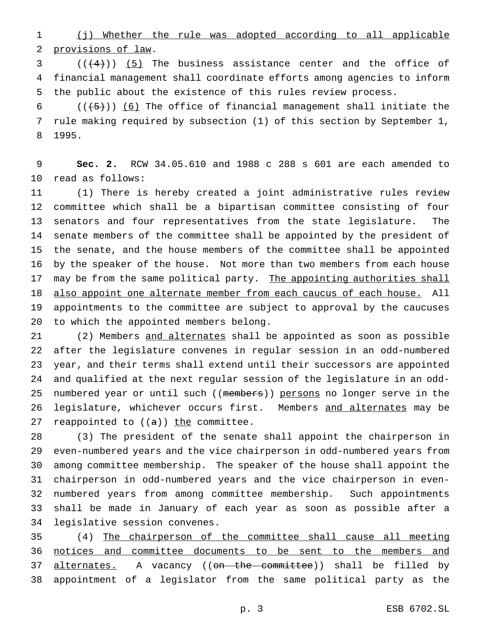(j) Whether the rule was adopted according to all applicable provisions of law.

3  $((4+))$  (5) The business assistance center and the office of financial management shall coordinate efforts among agencies to inform the public about the existence of this rules review process.

 $((+5))$  (6) The office of financial management shall initiate the rule making required by subsection (1) of this section by September 1, 1995.

 **Sec. 2.** RCW 34.05.610 and 1988 c 288 s 601 are each amended to read as follows:

 (1) There is hereby created a joint administrative rules review committee which shall be a bipartisan committee consisting of four senators and four representatives from the state legislature. The senate members of the committee shall be appointed by the president of the senate, and the house members of the committee shall be appointed by the speaker of the house. Not more than two members from each house 17 may be from the same political party. The appointing authorities shall 18 also appoint one alternate member from each caucus of each house. All appointments to the committee are subject to approval by the caucuses to which the appointed members belong.

21 (2) Members and alternates shall be appointed as soon as possible after the legislature convenes in regular session in an odd-numbered year, and their terms shall extend until their successors are appointed and qualified at the next regular session of the legislature in an odd-25 numbered year or until such ((members)) persons no longer serve in the legislature, whichever occurs first. Members and alternates may be 27 reappointed to  $((a))$  the committee.

 (3) The president of the senate shall appoint the chairperson in even-numbered years and the vice chairperson in odd-numbered years from among committee membership. The speaker of the house shall appoint the chairperson in odd-numbered years and the vice chairperson in even- numbered years from among committee membership. Such appointments shall be made in January of each year as soon as possible after a legislative session convenes.

 (4) The chairperson of the committee shall cause all meeting notices and committee documents to be sent to the members and 37 alternates. A vacancy ((on the committee)) shall be filled by appointment of a legislator from the same political party as the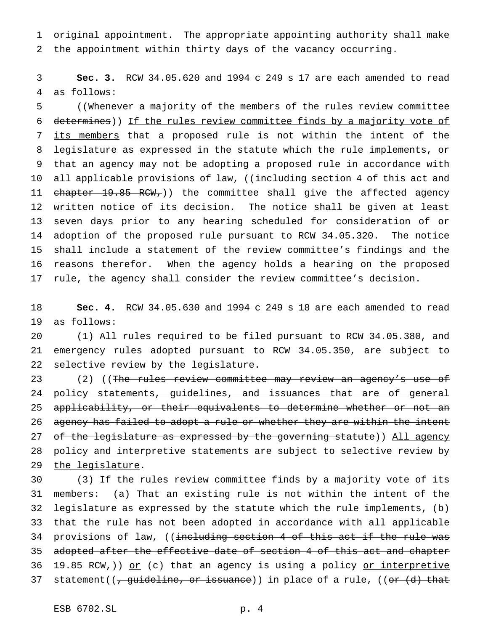original appointment. The appropriate appointing authority shall make the appointment within thirty days of the vacancy occurring.

 **Sec. 3.** RCW 34.05.620 and 1994 c 249 s 17 are each amended to read as follows:

 ((Whenever a majority of the members of the rules review committee determines)) If the rules review committee finds by a majority vote of its members that a proposed rule is not within the intent of the legislature as expressed in the statute which the rule implements, or that an agency may not be adopting a proposed rule in accordance with 10 all applicable provisions of law, ((including section 4 of this act and 11 chapter 19.85 RCW,)) the committee shall give the affected agency written notice of its decision. The notice shall be given at least seven days prior to any hearing scheduled for consideration of or adoption of the proposed rule pursuant to RCW 34.05.320. The notice shall include a statement of the review committee's findings and the reasons therefor. When the agency holds a hearing on the proposed rule, the agency shall consider the review committee's decision.

 **Sec. 4.** RCW 34.05.630 and 1994 c 249 s 18 are each amended to read as follows:

 (1) All rules required to be filed pursuant to RCW 34.05.380, and emergency rules adopted pursuant to RCW 34.05.350, are subject to selective review by the legislature.

23 (2) ((The rules review committee may review an agency's use of 24 policy statements, guidelines, and issuances that are of general 25 applicability, or their equivalents to determine whether or not an 26 agency has failed to adopt a rule or whether they are within the intent 27 of the legislature as expressed by the governing statute)) All agency 28 policy and interpretive statements are subject to selective review by 29 the legislature.

 (3) If the rules review committee finds by a majority vote of its members: (a) That an existing rule is not within the intent of the legislature as expressed by the statute which the rule implements, (b) that the rule has not been adopted in accordance with all applicable 34 provisions of law, ((including section 4 of this act if the rule was adopted after the effective date of section 4 of this act and chapter  $\frac{19.85 \text{ RCW}}{19.85 \text{ RCW}}$ ) or (c) that an agency is using a policy or interpretive 37 statement((<del>, guideline, or issuance</del>)) in place of a rule, ((<del>or (d) that</del>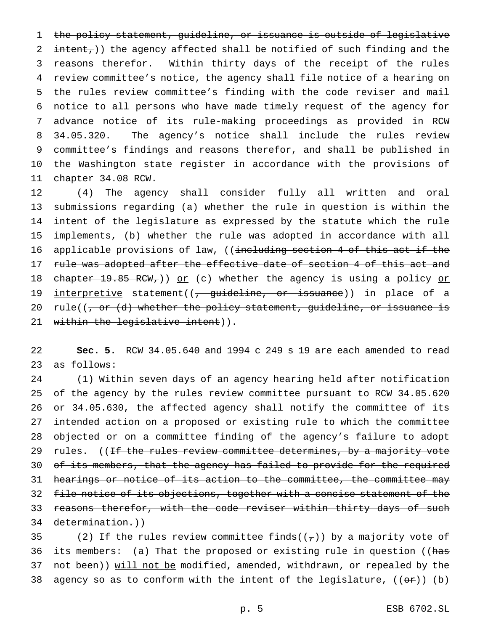the policy statement, guideline, or issuance is outside of legislative  $int_{\text{ent}}$ ) the agency affected shall be notified of such finding and the reasons therefor. Within thirty days of the receipt of the rules review committee's notice, the agency shall file notice of a hearing on the rules review committee's finding with the code reviser and mail notice to all persons who have made timely request of the agency for advance notice of its rule-making proceedings as provided in RCW 34.05.320. The agency's notice shall include the rules review committee's findings and reasons therefor, and shall be published in the Washington state register in accordance with the provisions of chapter 34.08 RCW.

12 (4) The agency shall consider fully all written and oral 13 submissions regarding (a) whether the rule in question is within the 14 intent of the legislature as expressed by the statute which the rule 15 implements, (b) whether the rule was adopted in accordance with all 16 applicable provisions of law, ((including section 4 of this act if the 17 rule was adopted after the effective date of section 4 of this act and 18 chapter 19.85 RCW,  $\rho r$  (c) whether the agency is using a policy or 19 interpretive statement((, guideline, or issuance)) in place of a 20 rule( $(-, or (d)$  whether the policy statement, guideline, or issuance is 21 within the legislative intent)).

22 **Sec. 5.** RCW 34.05.640 and 1994 c 249 s 19 are each amended to read 23 as follows:

24 (1) Within seven days of an agency hearing held after notification 25 of the agency by the rules review committee pursuant to RCW 34.05.620 26 or 34.05.630, the affected agency shall notify the committee of its 27 intended action on a proposed or existing rule to which the committee 28 objected or on a committee finding of the agency's failure to adopt 29 rules. ((If the rules review committee determines, by a majority vote 30 of its members, that the agency has failed to provide for the required 31 hearings or notice of its action to the committee, the committee may 32 file notice of its objections, together with a concise statement of the 33 reasons therefor, with the code reviser within thirty days of such 34 determination.))

35 (2) If the rules review committee finds( $(\tau)$ ) by a majority vote of 36 its members: (a) That the proposed or existing rule in question ((has 37 not been)) will not be modified, amended, withdrawn, or repealed by the 38 agency so as to conform with the intent of the legislature,  $((\theta \cdot \hat{r}))$  (b)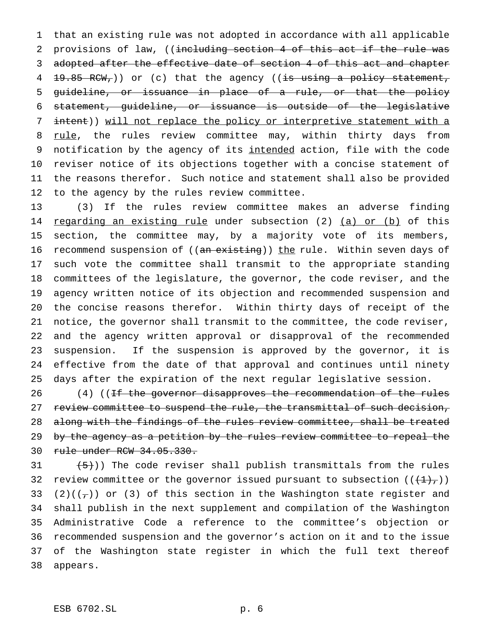that an existing rule was not adopted in accordance with all applicable 2 provisions of law, ((including section 4 of this act if the rule was adopted after the effective date of section 4 of this act and chapter  $19.85$  RCW, ) or (c) that the agency ((is using a policy statement, guideline, or issuance in place of a rule, or that the policy statement, guideline, or issuance is outside of the legislative intent)) will not replace the policy or interpretive statement with a 8 rule, the rules review committee may, within thirty days from 9 notification by the agency of its intended action, file with the code reviser notice of its objections together with a concise statement of the reasons therefor. Such notice and statement shall also be provided to the agency by the rules review committee.

 (3) If the rules review committee makes an adverse finding 14 regarding an existing rule under subsection (2) (a) or (b) of this section, the committee may, by a majority vote of its members, 16 recommend suspension of ((an existing)) the rule. Within seven days of such vote the committee shall transmit to the appropriate standing committees of the legislature, the governor, the code reviser, and the agency written notice of its objection and recommended suspension and the concise reasons therefor. Within thirty days of receipt of the notice, the governor shall transmit to the committee, the code reviser, and the agency written approval or disapproval of the recommended suspension. If the suspension is approved by the governor, it is effective from the date of that approval and continues until ninety days after the expiration of the next regular legislative session.

26 (4) ((If the governor disapproves the recommendation of the rules 27 review committee to suspend the rule, the transmittal of such decision, 28 along with the findings of the rules review committee, shall be treated 29 by the agency as a petition by the rules review committee to repeal the rule under RCW 34.05.330.

 $(5)$ )) The code reviser shall publish transmittals from the rules 32 review committee or the governor issued pursuant to subsection  $((+1)_{\tau}))$ 33 (2)( $(\tau)$ ) or (3) of this section in the Washington state register and shall publish in the next supplement and compilation of the Washington Administrative Code a reference to the committee's objection or recommended suspension and the governor's action on it and to the issue of the Washington state register in which the full text thereof appears.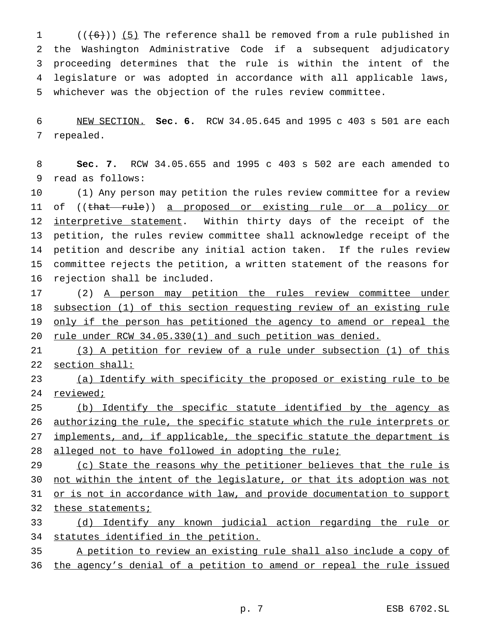$((+6))$  (5) The reference shall be removed from a rule published in the Washington Administrative Code if a subsequent adjudicatory proceeding determines that the rule is within the intent of the legislature or was adopted in accordance with all applicable laws, whichever was the objection of the rules review committee.

 NEW SECTION. **Sec. 6.** RCW 34.05.645 and 1995 c 403 s 501 are each repealed.

 **Sec. 7.** RCW 34.05.655 and 1995 c 403 s 502 are each amended to read as follows:

 (1) Any person may petition the rules review committee for a review 11 of ((that rule)) a proposed or existing rule or a policy or 12 interpretive statement. Within thirty days of the receipt of the petition, the rules review committee shall acknowledge receipt of the petition and describe any initial action taken. If the rules review committee rejects the petition, a written statement of the reasons for rejection shall be included.

17 (2) A person may petition the rules review committee under subsection (1) of this section requesting review of an existing rule 19 only if the person has petitioned the agency to amend or repeal the 20 rule under RCW 34.05.330(1) and such petition was denied.

 (3) A petition for review of a rule under subsection (1) of this section shall:

 (a) Identify with specificity the proposed or existing rule to be reviewed;

 (b) Identify the specific statute identified by the agency as authorizing the rule, the specific statute which the rule interprets or 27 implements, and, if applicable, the specific statute the department is 28 alleged not to have followed in adopting the rule;

29 (c) State the reasons why the petitioner believes that the rule is not within the intent of the legislature, or that its adoption was not 31 or is not in accordance with law, and provide documentation to support 32 these statements;

 (d) Identify any known judicial action regarding the rule or statutes identified in the petition.

 A petition to review an existing rule shall also include a copy of the agency's denial of a petition to amend or repeal the rule issued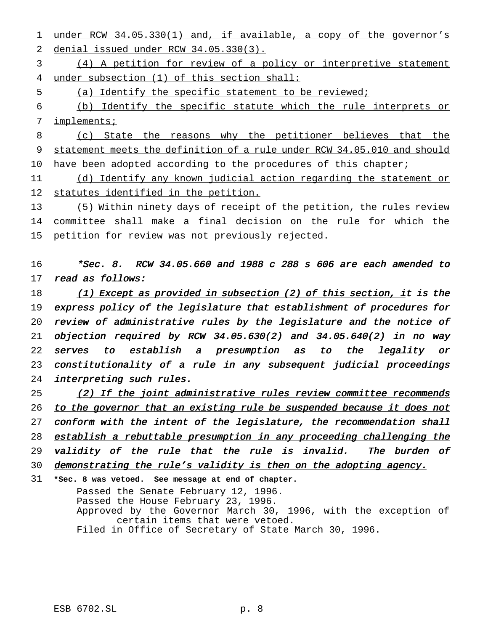under RCW 34.05.330(1) and, if available, a copy of the governor's denial issued under RCW 34.05.330(3).

 (4) A petition for review of a policy or interpretive statement under subsection (1) of this section shall:

(a) Identify the specific statement to be reviewed;

 (b) Identify the specific statute which the rule interprets or implements;

 (c) State the reasons why the petitioner believes that the statement meets the definition of a rule under RCW 34.05.010 and should 10 have been adopted according to the procedures of this chapter;

11 (d) Identify any known judicial action regarding the statement or statutes identified in the petition.

 (5) Within ninety days of receipt of the petition, the rules review committee shall make a final decision on the rule for which the petition for review was not previously rejected.

 \*Sec. 8. RCW 34.05.660 and <sup>1988</sup> <sup>c</sup> <sup>288</sup> <sup>s</sup> <sup>606</sup> are each amended to read as follows:

18 (1) Except as provided in subsection (2) of this section, it is the express policy of the legislature that establishment of procedures for review of administrative rules by the legislature and the notice of objection required by RCW 34.05.630(2) and 34.05.640(2) in no way serves to establish <sup>a</sup> presumption as to the legality or constitutionality of <sup>a</sup> rule in any subsequent judicial proceedings interpreting such rules.

25 (2) If the joint administrative rules review committee recommends 26 to the governor that an existing rule be suspended because it does not 27 conform with the intent of the legislature, the recommendation shall

28 establish a rebuttable presumption in any proceeding challenging the

29 validity of the rule that the rule is invalid. The burden of

demonstrating the rule's validity is then on the adopting agency.

**\*Sec. 8 was vetoed. See message at end of chapter.**

Passed the Senate February 12, 1996. Passed the House February 23, 1996. Approved by the Governor March 30, 1996, with the exception of certain items that were vetoed. Filed in Office of Secretary of State March 30, 1996.